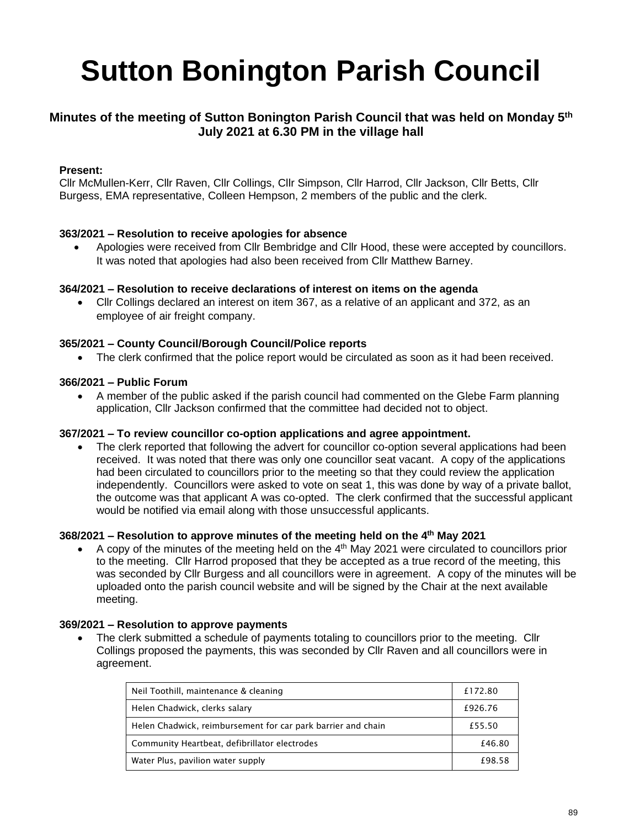# **Sutton Bonington Parish Council**

## **Minutes of the meeting of Sutton Bonington Parish Council that was held on Monday 5 th July 2021 at 6.30 PM in the village hall**

## **Present:**

Cllr McMullen-Kerr, Cllr Raven, Cllr Collings, Cllr Simpson, Cllr Harrod, Cllr Jackson, Cllr Betts, Cllr Burgess, EMA representative, Colleen Hempson, 2 members of the public and the clerk.

#### **363/2021 – Resolution to receive apologies for absence**

• Apologies were received from Cllr Bembridge and Cllr Hood, these were accepted by councillors. It was noted that apologies had also been received from Cllr Matthew Barney.

#### **364/2021 – Resolution to receive declarations of interest on items on the agenda**

• Cllr Collings declared an interest on item 367, as a relative of an applicant and 372, as an employee of air freight company.

#### **365/2021 – County Council/Borough Council/Police reports**

• The clerk confirmed that the police report would be circulated as soon as it had been received.

#### **366/2021 – Public Forum**

• A member of the public asked if the parish council had commented on the Glebe Farm planning application, Cllr Jackson confirmed that the committee had decided not to object.

#### **367/2021 – To review councillor co-option applications and agree appointment.**

• The clerk reported that following the advert for councillor co-option several applications had been received. It was noted that there was only one councillor seat vacant. A copy of the applications had been circulated to councillors prior to the meeting so that they could review the application independently. Councillors were asked to vote on seat 1, this was done by way of a private ballot, the outcome was that applicant A was co-opted. The clerk confirmed that the successful applicant would be notified via email along with those unsuccessful applicants.

#### **368/2021 – Resolution to approve minutes of the meeting held on the 4 th May 2021**

• A copy of the minutes of the meeting held on the 4<sup>th</sup> May 2021 were circulated to councillors prior to the meeting. Cllr Harrod proposed that they be accepted as a true record of the meeting, this was seconded by Cllr Burgess and all councillors were in agreement. A copy of the minutes will be uploaded onto the parish council website and will be signed by the Chair at the next available meeting.

#### **369/2021 – Resolution to approve payments**

The clerk submitted a schedule of payments totaling to councillors prior to the meeting. Cllr Collings proposed the payments, this was seconded by Cllr Raven and all councillors were in agreement.

| Neil Toothill, maintenance & cleaning                        | £172.80 |
|--------------------------------------------------------------|---------|
| Helen Chadwick, clerks salary                                | £926.76 |
| Helen Chadwick, reimbursement for car park barrier and chain | £55.50  |
| Community Heartbeat, defibrillator electrodes                | £46.80  |
| Water Plus, pavilion water supply                            | £98.58  |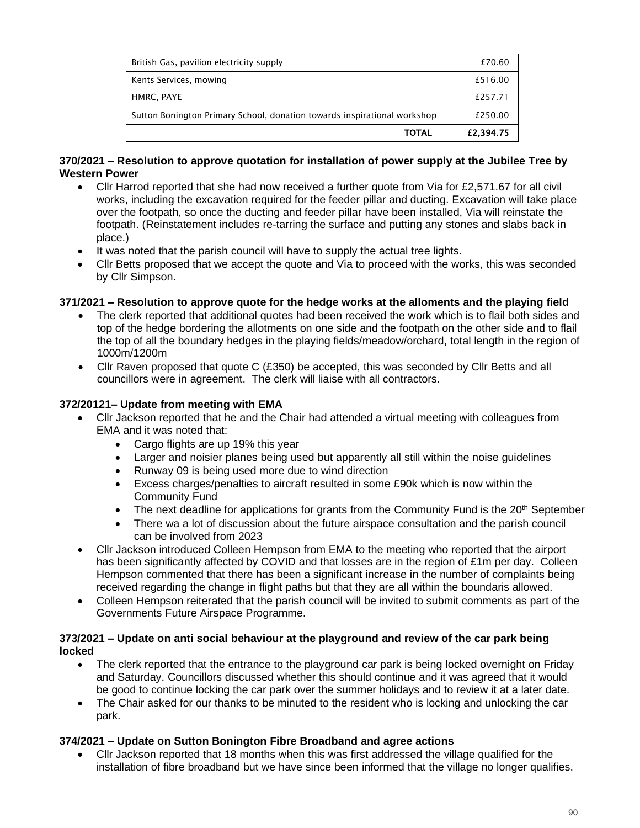| British Gas, pavilion electricity supply                                 | £70.60    |
|--------------------------------------------------------------------------|-----------|
| Kents Services, mowing                                                   | £516.00   |
| HMRC, PAYE                                                               | £257.71   |
| Sutton Bonington Primary School, donation towards inspirational workshop | £250.00   |
| <b>TOTAL</b>                                                             | £2,394.75 |

#### **370/2021 – Resolution to approve quotation for installation of power supply at the Jubilee Tree by Western Power**

- Cllr Harrod reported that she had now received a further quote from Via for £2,571.67 for all civil works, including the excavation required for the feeder pillar and ducting. Excavation will take place over the footpath, so once the ducting and feeder pillar have been installed, Via will reinstate the footpath. (Reinstatement includes re-tarring the surface and putting any stones and slabs back in place.)
- It was noted that the parish council will have to supply the actual tree lights.
- Cllr Betts proposed that we accept the quote and Via to proceed with the works, this was seconded by Cllr Simpson.

## **371/2021 – Resolution to approve quote for the hedge works at the alloments and the playing field**

- The clerk reported that additional quotes had been received the work which is to flail both sides and top of the hedge bordering the allotments on one side and the footpath on the other side and to flail the top of all the boundary hedges in the playing fields/meadow/orchard, total length in the region of 1000m/1200m
- Cllr Raven proposed that quote C (£350) be accepted, this was seconded by Cllr Betts and all councillors were in agreement. The clerk will liaise with all contractors.

#### **372/20121– Update from meeting with EMA**

- Cllr Jackson reported that he and the Chair had attended a virtual meeting with colleagues from EMA and it was noted that:
	- Cargo flights are up 19% this year
	- Larger and noisier planes being used but apparently all still within the noise guidelines
	- Runway 09 is being used more due to wind direction
	- Excess charges/penalties to aircraft resulted in some £90k which is now within the Community Fund
	- The next deadline for applications for grants from the Community Fund is the  $20<sup>th</sup>$  September
	- There wa a lot of discussion about the future airspace consultation and the parish council can be involved from 2023
- Cllr Jackson introduced Colleen Hempson from EMA to the meeting who reported that the airport has been significantly affected by COVID and that losses are in the region of £1m per day. Colleen Hempson commented that there has been a significant increase in the number of complaints being received regarding the change in flight paths but that they are all within the boundaris allowed.
- Colleen Hempson reiterated that the parish council will be invited to submit comments as part of the Governments Future Airspace Programme.

#### **373/2021 – Update on anti social behaviour at the playground and review of the car park being locked**

- The clerk reported that the entrance to the playground car park is being locked overnight on Friday and Saturday. Councillors discussed whether this should continue and it was agreed that it would be good to continue locking the car park over the summer holidays and to review it at a later date.
- The Chair asked for our thanks to be minuted to the resident who is locking and unlocking the car park.

#### **374/2021 – Update on Sutton Bonington Fibre Broadband and agree actions**

• Cllr Jackson reported that 18 months when this was first addressed the village qualified for the installation of fibre broadband but we have since been informed that the village no longer qualifies.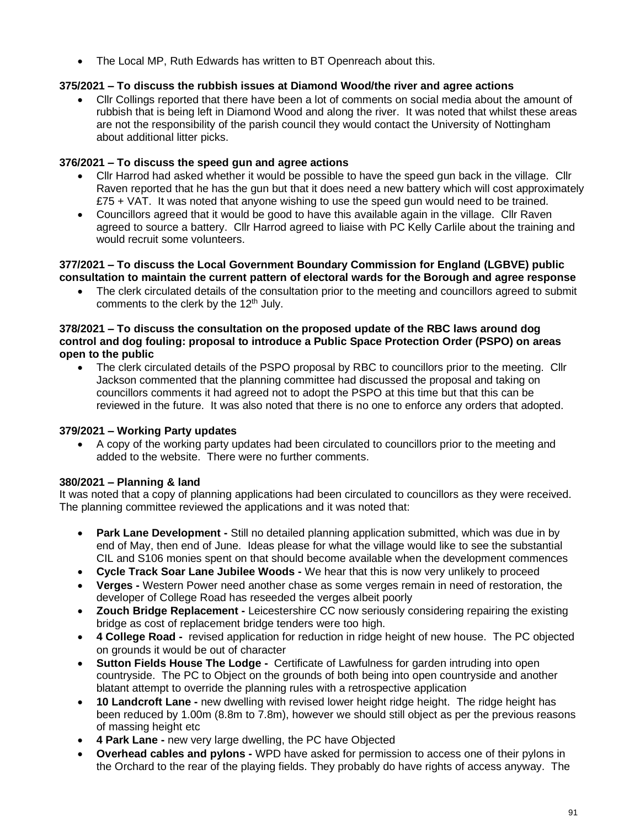• The Local MP, Ruth Edwards has written to BT Openreach about this.

## **375/2021 – To discuss the rubbish issues at Diamond Wood/the river and agree actions**

• Cllr Collings reported that there have been a lot of comments on social media about the amount of rubbish that is being left in Diamond Wood and along the river. It was noted that whilst these areas are not the responsibility of the parish council they would contact the University of Nottingham about additional litter picks.

## **376/2021 – To discuss the speed gun and agree actions**

- Cllr Harrod had asked whether it would be possible to have the speed gun back in the village. Cllr Raven reported that he has the gun but that it does need a new battery which will cost approximately £75 + VAT. It was noted that anyone wishing to use the speed gun would need to be trained.
- Councillors agreed that it would be good to have this available again in the village. Cllr Raven agreed to source a battery. Cllr Harrod agreed to liaise with PC Kelly Carlile about the training and would recruit some volunteers.

#### **377/2021 – To discuss the Local Government Boundary Commission for England (LGBVE) public consultation to maintain the current pattern of electoral wards for the Borough and agree response**

• The clerk circulated details of the consultation prior to the meeting and councillors agreed to submit comments to the clerk by the 12<sup>th</sup> July.

#### **378/2021 – To discuss the consultation on the proposed update of the RBC laws around dog control and dog fouling: proposal to introduce a Public Space Protection Order (PSPO) on areas open to the public**

• The clerk circulated details of the PSPO proposal by RBC to councillors prior to the meeting. Cllr Jackson commented that the planning committee had discussed the proposal and taking on councillors comments it had agreed not to adopt the PSPO at this time but that this can be reviewed in the future. It was also noted that there is no one to enforce any orders that adopted.

## **379/2021 – Working Party updates**

• A copy of the working party updates had been circulated to councillors prior to the meeting and added to the website. There were no further comments.

## **380/2021 – Planning & land**

It was noted that a copy of planning applications had been circulated to councillors as they were received. The planning committee reviewed the applications and it was noted that:

- **Park Lane Development -** Still no detailed planning application submitted, which was due in by end of May, then end of June. Ideas please for what the village would like to see the substantial CIL and S106 monies spent on that should become available when the development commences
- **Cycle Track Soar Lane Jubilee Woods -** We hear that this is now very unlikely to proceed
- **Verges -** Western Power need another chase as some verges remain in need of restoration, the developer of College Road has reseeded the verges albeit poorly
- **Zouch Bridge Replacement -** Leicestershire CC now seriously considering repairing the existing bridge as cost of replacement bridge tenders were too high.
- **4 College Road -** revised application for reduction in ridge height of new house. The PC objected on grounds it would be out of character
- **Sutton Fields House The Lodge -** Certificate of Lawfulness for garden intruding into open countryside. The PC to Object on the grounds of both being into open countryside and another blatant attempt to override the planning rules with a retrospective application
- **10 Landcroft Lane -** new dwelling with revised lower height ridge height. The ridge height has been reduced by 1.00m (8.8m to 7.8m), however we should still object as per the previous reasons of massing height etc
- **4 Park Lane -** new very large dwelling, the PC have Objected
- **Overhead cables and pylons -** WPD have asked for permission to access one of their pylons in the Orchard to the rear of the playing fields. They probably do have rights of access anyway. The